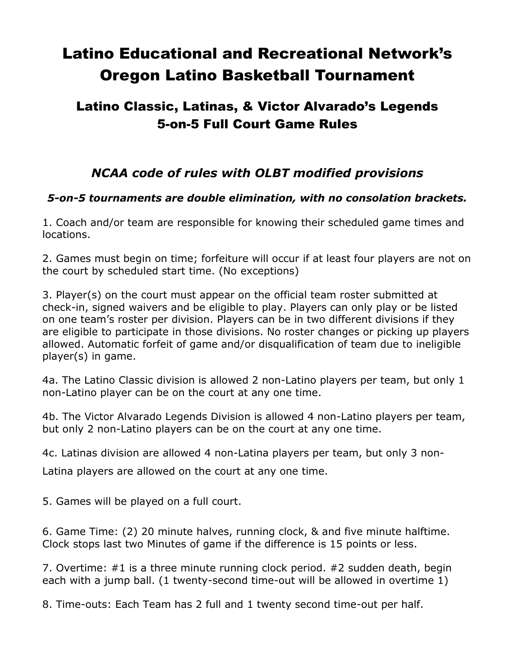# Latino Educational and Recreational Network's Oregon Latino Basketball Tournament

## Latino Classic, Latinas, & Victor Alvarado's Legends 5-on-5 Full Court Game Rules

## *NCAA code of rules with OLBT modified provisions*

#### *5-on-5 tournaments are double elimination, with no consolation brackets.*

1. Coach and/or team are responsible for knowing their scheduled game times and locations.

2. Games must begin on time; forfeiture will occur if at least four players are not on the court by scheduled start time. (No exceptions)

3. Player(s) on the court must appear on the official team roster submitted at check-in, signed waivers and be eligible to play. Players can only play or be listed on one team's roster per division. Players can be in two different divisions if they are eligible to participate in those divisions. No roster changes or picking up players allowed. Automatic forfeit of game and/or disqualification of team due to ineligible player(s) in game.

4a. The Latino Classic division is allowed 2 non-Latino players per team, but only 1 non-Latino player can be on the court at any one time.

4b. The Victor Alvarado Legends Division is allowed 4 non-Latino players per team, but only 2 non-Latino players can be on the court at any one time.

4c. Latinas division are allowed 4 non-Latina players per team, but only 3 non-

Latina players are allowed on the court at any one time.

5. Games will be played on a full court.

6. Game Time: (2) 20 minute halves, running clock, & and five minute halftime. Clock stops last two Minutes of game if the difference is 15 points or less.

7. Overtime: #1 is a three minute running clock period. #2 sudden death, begin each with a jump ball. (1 twenty-second time-out will be allowed in overtime 1)

8. Time-outs: Each Team has 2 full and 1 twenty second time-out per half.